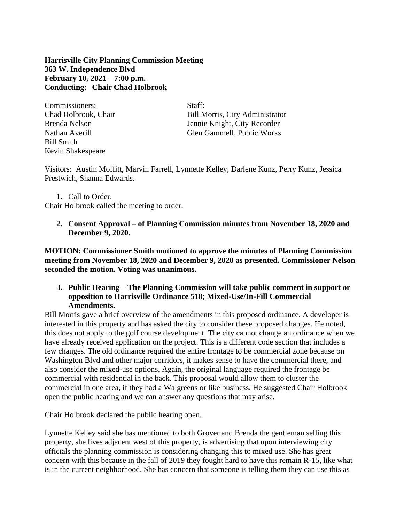**Harrisville City Planning Commission Meeting 363 W. Independence Blvd February 10, 2021 – 7:00 p.m. Conducting: Chair Chad Holbrook**

Commissioners: Staff: Bill Smith Kevin Shakespeare

Chad Holbrook, Chair Bill Morris, City Administrator Brenda Nelson Jennie Knight, City Recorder Nathan Averill Glen Gammell, Public Works

Visitors: Austin Moffitt, Marvin Farrell, Lynnette Kelley, Darlene Kunz, Perry Kunz, Jessica Prestwich, Shanna Edwards.

**1.** Call to Order.

Chair Holbrook called the meeting to order.

**2. Consent Approval – of Planning Commission minutes from November 18, 2020 and December 9, 2020.**

**MOTION: Commissioner Smith motioned to approve the minutes of Planning Commission meeting from November 18, 2020 and December 9, 2020 as presented. Commissioner Nelson seconded the motion. Voting was unanimous.**

# **3. Public Hearing** – **The Planning Commission will take public comment in support or opposition to Harrisville Ordinance 518; Mixed-Use/In-Fill Commercial Amendments.**

Bill Morris gave a brief overview of the amendments in this proposed ordinance. A developer is interested in this property and has asked the city to consider these proposed changes. He noted, this does not apply to the golf course development. The city cannot change an ordinance when we have already received application on the project. This is a different code section that includes a few changes. The old ordinance required the entire frontage to be commercial zone because on Washington Blvd and other major corridors, it makes sense to have the commercial there, and also consider the mixed-use options. Again, the original language required the frontage be commercial with residential in the back. This proposal would allow them to cluster the commercial in one area, if they had a Walgreens or like business. He suggested Chair Holbrook open the public hearing and we can answer any questions that may arise.

Chair Holbrook declared the public hearing open.

Lynnette Kelley said she has mentioned to both Grover and Brenda the gentleman selling this property, she lives adjacent west of this property, is advertising that upon interviewing city officials the planning commission is considering changing this to mixed use. She has great concern with this because in the fall of 2019 they fought hard to have this remain R-15, like what is in the current neighborhood. She has concern that someone is telling them they can use this as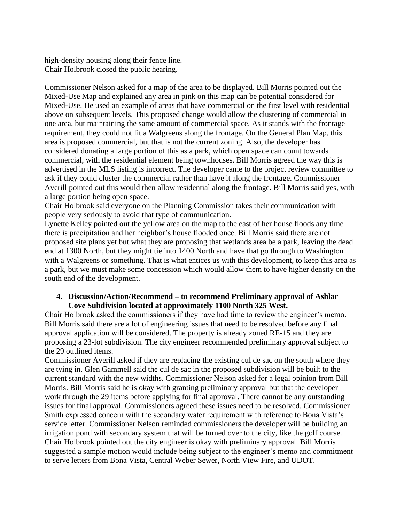high-density housing along their fence line. Chair Holbrook closed the public hearing.

Commissioner Nelson asked for a map of the area to be displayed. Bill Morris pointed out the Mixed-Use Map and explained any area in pink on this map can be potential considered for Mixed-Use. He used an example of areas that have commercial on the first level with residential above on subsequent levels. This proposed change would allow the clustering of commercial in one area, but maintaining the same amount of commercial space. As it stands with the frontage requirement, they could not fit a Walgreens along the frontage. On the General Plan Map, this area is proposed commercial, but that is not the current zoning. Also, the developer has considered donating a large portion of this as a park, which open space can count towards commercial, with the residential element being townhouses. Bill Morris agreed the way this is advertised in the MLS listing is incorrect. The developer came to the project review committee to ask if they could cluster the commercial rather than have it along the frontage. Commissioner Averill pointed out this would then allow residential along the frontage. Bill Morris said yes, with a large portion being open space.

Chair Holbrook said everyone on the Planning Commission takes their communication with people very seriously to avoid that type of communication.

Lynette Kelley pointed out the yellow area on the map to the east of her house floods any time there is precipitation and her neighbor's house flooded once. Bill Morris said there are not proposed site plans yet but what they are proposing that wetlands area be a park, leaving the dead end at 1300 North, but they might tie into 1400 North and have that go through to Washington with a Walgreens or something. That is what entices us with this development, to keep this area as a park, but we must make some concession which would allow them to have higher density on the south end of the development.

#### **4. Discussion/Action/Recommend – to recommend Preliminary approval of Ashlar Cove Subdivision located at approximately 1100 North 325 West.**

Chair Holbrook asked the commissioners if they have had time to review the engineer's memo. Bill Morris said there are a lot of engineering issues that need to be resolved before any final approval application will be considered. The property is already zoned RE-15 and they are proposing a 23-lot subdivision. The city engineer recommended preliminary approval subject to the 29 outlined items.

Commissioner Averill asked if they are replacing the existing cul de sac on the south where they are tying in. Glen Gammell said the cul de sac in the proposed subdivision will be built to the current standard with the new widths. Commissioner Nelson asked for a legal opinion from Bill Morris. Bill Morris said he is okay with granting preliminary approval but that the developer work through the 29 items before applying for final approval. There cannot be any outstanding issues for final approval. Commissioners agreed these issues need to be resolved. Commissioner Smith expressed concern with the secondary water requirement with reference to Bona Vista's service letter. Commissioner Nelson reminded commissioners the developer will be building an irrigation pond with secondary system that will be turned over to the city, like the golf course. Chair Holbrook pointed out the city engineer is okay with preliminary approval. Bill Morris suggested a sample motion would include being subject to the engineer's memo and commitment to serve letters from Bona Vista, Central Weber Sewer, North View Fire, and UDOT.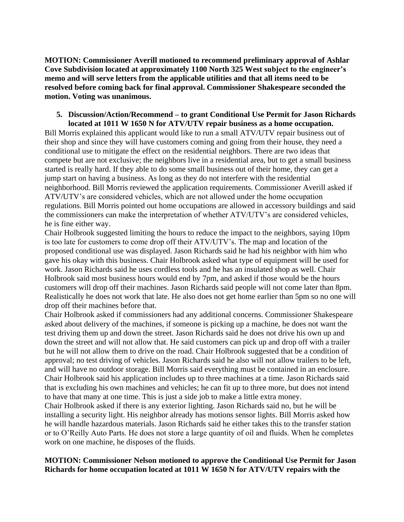**MOTION: Commissioner Averill motioned to recommend preliminary approval of Ashlar Cove Subdivision located at approximately 1100 North 325 West subject to the engineer's memo and will serve letters from the applicable utilities and that all items need to be resolved before coming back for final approval. Commissioner Shakespeare seconded the motion. Voting was unanimous.**

#### **5. Discussion/Action/Recommend – to grant Conditional Use Permit for Jason Richards located at 1011 W 1650 N for ATV/UTV repair business as a home occupation.**

Bill Morris explained this applicant would like to run a small ATV/UTV repair business out of their shop and since they will have customers coming and going from their house, they need a conditional use to mitigate the effect on the residential neighbors. There are two ideas that compete but are not exclusive; the neighbors live in a residential area, but to get a small business started is really hard. If they able to do some small business out of their home, they can get a jump start on having a business. As long as they do not interfere with the residential neighborhood. Bill Morris reviewed the application requirements. Commissioner Averill asked if ATV/UTV's are considered vehicles, which are not allowed under the home occupation regulations. Bill Morris pointed out home occupations are allowed in accessory buildings and said the commissioners can make the interpretation of whether ATV/UTV's are considered vehicles, he is fine either way.

Chair Holbrook suggested limiting the hours to reduce the impact to the neighbors, saying 10pm is too late for customers to come drop off their ATV/UTV's. The map and location of the proposed conditional use was displayed. Jason Richards said he had his neighbor with him who gave his okay with this business. Chair Holbrook asked what type of equipment will be used for work. Jason Richards said he uses cordless tools and he has an insulated shop as well. Chair Holbrook said most business hours would end by 7pm, and asked if those would be the hours customers will drop off their machines. Jason Richards said people will not come later than 8pm. Realistically he does not work that late. He also does not get home earlier than 5pm so no one will drop off their machines before that.

Chair Holbrook asked if commissioners had any additional concerns. Commissioner Shakespeare asked about delivery of the machines, if someone is picking up a machine, he does not want the test driving them up and down the street. Jason Richards said he does not drive his own up and down the street and will not allow that. He said customers can pick up and drop off with a trailer but he will not allow them to drive on the road. Chair Holbrook suggested that be a condition of approval; no test driving of vehicles. Jason Richards said he also will not allow trailers to be left, and will have no outdoor storage. Bill Morris said everything must be contained in an enclosure. Chair Holbrook said his application includes up to three machines at a time. Jason Richards said that is excluding his own machines and vehicles; he can fit up to three more, but does not intend to have that many at one time. This is just a side job to make a little extra money.

Chair Holbrook asked if there is any exterior lighting. Jason Richards said no, but he will be installing a security light. His neighbor already has motions sensor lights. Bill Morris asked how he will handle hazardous materials. Jason Richards said he either takes this to the transfer station or to O'Reilly Auto Parts. He does not store a large quantity of oil and fluids. When he completes work on one machine, he disposes of the fluids.

## **MOTION: Commissioner Nelson motioned to approve the Conditional Use Permit for Jason Richards for home occupation located at 1011 W 1650 N for ATV/UTV repairs with the**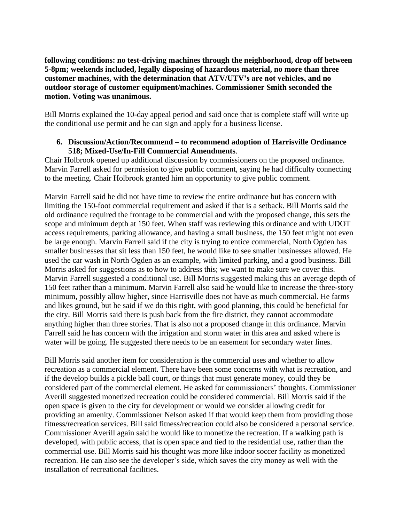**following conditions: no test-driving machines through the neighborhood, drop off between 5-8pm; weekends included, legally disposing of hazardous material, no more than three customer machines, with the determination that ATV/UTV's are not vehicles, and no outdoor storage of customer equipment/machines. Commissioner Smith seconded the motion. Voting was unanimous.**

Bill Morris explained the 10-day appeal period and said once that is complete staff will write up the conditional use permit and he can sign and apply for a business license.

## **6. Discussion/Action/Recommend – to recommend adoption of Harrisville Ordinance 518; Mixed-Use/In-Fill Commercial Amendments**.

Chair Holbrook opened up additional discussion by commissioners on the proposed ordinance. Marvin Farrell asked for permission to give public comment, saying he had difficulty connecting to the meeting. Chair Holbrook granted him an opportunity to give public comment.

Marvin Farrell said he did not have time to review the entire ordinance but has concern with limiting the 150-foot commercial requirement and asked if that is a setback. Bill Morris said the old ordinance required the frontage to be commercial and with the proposed change, this sets the scope and minimum depth at 150 feet. When staff was reviewing this ordinance and with UDOT access requirements, parking allowance, and having a small business, the 150 feet might not even be large enough. Marvin Farrell said if the city is trying to entice commercial, North Ogden has smaller businesses that sit less than 150 feet, he would like to see smaller businesses allowed. He used the car wash in North Ogden as an example, with limited parking, and a good business. Bill Morris asked for suggestions as to how to address this; we want to make sure we cover this. Marvin Farrell suggested a conditional use. Bill Morris suggested making this an average depth of 150 feet rather than a minimum. Marvin Farrell also said he would like to increase the three-story minimum, possibly allow higher, since Harrisville does not have as much commercial. He farms and likes ground, but he said if we do this right, with good planning, this could be beneficial for the city. Bill Morris said there is push back from the fire district, they cannot accommodate anything higher than three stories. That is also not a proposed change in this ordinance. Marvin Farrell said he has concern with the irrigation and storm water in this area and asked where is water will be going. He suggested there needs to be an easement for secondary water lines.

Bill Morris said another item for consideration is the commercial uses and whether to allow recreation as a commercial element. There have been some concerns with what is recreation, and if the develop builds a pickle ball court, or things that must generate money, could they be considered part of the commercial element. He asked for commissioners' thoughts. Commissioner Averill suggested monetized recreation could be considered commercial. Bill Morris said if the open space is given to the city for development or would we consider allowing credit for providing an amenity. Commissioner Nelson asked if that would keep them from providing those fitness/recreation services. Bill said fitness/recreation could also be considered a personal service. Commissioner Averill again said he would like to monetize the recreation. If a walking path is developed, with public access, that is open space and tied to the residential use, rather than the commercial use. Bill Morris said his thought was more like indoor soccer facility as monetized recreation. He can also see the developer's side, which saves the city money as well with the installation of recreational facilities.